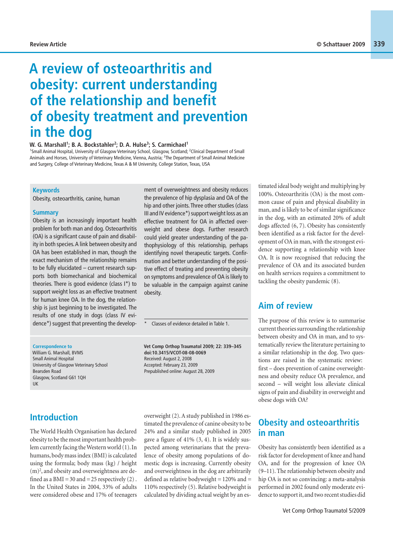# **A review of osteoarthritis and obesity: current understanding of the relationship and benefit of obesity treatment and prevention in the dog**

#### W. G. Marshall<sup>1</sup>; B. A. Bockstahler<sup>2</sup>; D. A. Hulse<sup>3</sup>; S. Carmichael<sup>1</sup>

<sup>1</sup>Small Animal Hospital, University of Glasgow Veterinary School, Glasgow, Scotland; <sup>2</sup>Clinical Department of Small Animals and Horses, University of Veterinary Medicine, Vienna, Austria; <sup>3</sup>The Department of Small Animal Medicine and Surgery, College of Veterinary Medicine, Texas A & M University, College Station, Texas, USA

#### **Keywords**

Obesity, osteoarthritis, canine, human

#### **Summary**

Obesity is an increasingly important health problem for both man and dog. Osteoarthritis (OA) is a significant cause of pain and disability in both species. A link between obesity and OA has been established in man, though the exact mechanism of the relationship remains to be fully elucidated – current research supports both biomechanical and biochemical theories. There is good evidence (class I\*) to support weight loss as an effective treatment for human knee OA. In the dog, the relationship is just beginning to be investigated. The results of one study in dogs (class IV evidence\*) suggest that preventing the develop-

ment of overweightness and obesity reduces the prevalence of hip dysplasia and OA of the hip and other joints. Three other studies (class III and IV evidence\*) support weight loss as an effective treatment for OA in affected overweight and obese dogs. Further research could yield greater understanding of the pathophysiology of this relationship, perhaps identifying novel therapeutic targets. Confirmation and better understanding of the positive effect of treating and preventing obesity on symptoms and prevalence of OA is likely to be valuable in the campaign against canine obesity.

Classes of evidence detailed in Table 1.

# **Correspondence to**  William G. Marshall, BVMS

Small Animal Hospital University of Glasgow Veterinary School Bearsden Road Glasgow, Scotland G61 1QH UK

**Vet Comp Orthop Traumatol 2009; 22: 339–345 doi:10.3415/VCOT-08-08-0069**  Received: August 2, 2008 Accepted: February 23, 2009 Prepublished online: August 28, 2009

**Introduction** 

The World Health Organisation has declared obesity to be the most important health problem currently facing the Western world (1). In humans, body mass index (BMI) is calculated using the formula; body mass (kg) / height (m)<sup>2</sup>, and obesity and overweightness are defined as a  $BMI = 30$  and  $= 25$  respectively (2). In the United States in 2004, 33% of adults were considered obese and 17% of teenagers

overweight (2). A study published in 1986 estimated the prevalence of canine obesity to be 24% and a similar study published in 2005 gave a figure of 41% (3, 4). It is widely suspected among veterinarians that the prevalence of obesity among populations of domestic dogs is increasing. Currently obesity and overweightness in the dog are arbitrarily defined as relative bodyweight  $= 120\%$  and  $=$ 110% respectively (5). Relative bodyweight is calculated by dividing actual weight by an estimated ideal body weight and multiplying by 100%. Osteoarthritis (OA) is the most common cause of pain and physical disability in man, and is likely to be of similar significance in the dog, with an estimated 20% of adult dogs affected (6, 7). Obesity has consistently been identified as a risk factor for the development of OA in man, with the strongest evidence supporting a relationship with knee OA. It is now recognised that reducing the prevalence of OA and its associated burden on health services requires a commitment to tackling the obesity pandemic (8).

## **Aim of review**

The purpose of this review is to summarise current theories surrounding the relationship between obesity and OA in man, and to systematically review the literature pertaining to a similar relationship in the dog. Two questions are raised in the systematic review: first – does prevention of canine overweightness and obesity reduce OA prevalence, and second – will weight loss alleviate clinical signs of pain and disability in overweight and obese dogs with OA?

# **Obesity and osteoarthritis in man**

Obesity has consistently been identified as a risk factor for development of knee and hand OA, and for the progression of knee OA (9–11). The relationship between obesity and hip OA is not so convincing: a meta-analysis performed in 2002 found only moderate evidence to support it, and two recent studies did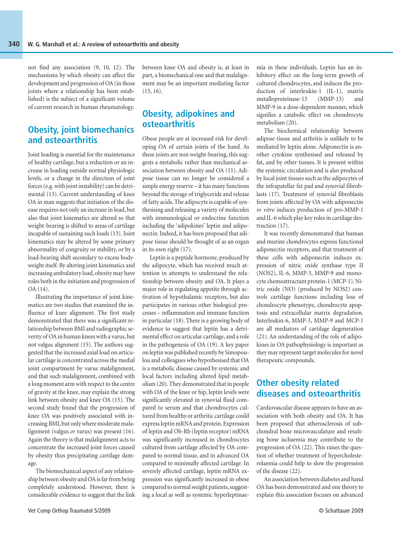not find any association (9, 10, 12). The mechanisms by which obesity can affect the development and progression of OA (in those joints where a relationship has been established) is the subject of a significant volume of current research in human rheumatology.

# **Obesity, joint biomechanics and osteoarthritis**

Joint loading is essential for the maintenance of healthy cartilage, but a reduction or an increase in loading outside normal physiologic levels, or a change in the direction of joint forces (e.g. with joint instability) can be detrimental (13). Current understanding of knee OA in man suggests that initiation of the disease requires not only an increase in load, but also that joint kinematics are altered so that weight-bearing is shifted to areas of cartilage incapable of sustaining such loads (13). Joint kinematics may be altered by some primary abnormality of congruity or stability, or by a load-bearing shift secondary to excess bodyweight itself. By altering joint kinematics and increasing ambulatory load, obesity may have roles both in the initiation and progression of OA (14).

Illustrating the importance of joint kinematics are two studies that examined the influence of knee alignment. The first study demonstrated that there was a significant relationship between BMI and radiographic severity of OA in human knees with a varus, but not valgus alignment (15). The authors suggested that the increased axial load on articular cartilage is concentrated across the medial joint compartment by varus malalignment, and that such malalignment, combined with a long moment arm with respect to the centre of gravity at the knee, may explain the strong link between obesity and knee OA (15). The second study found that the progression of knee OA was positively associated with increasing BMI, but only where moderate malalignment (valgus *or* varus) was present (16). Again the theory is that malalignment acts to concentrate the increased joint forces caused by obesity thus precipitating cartilage damage.

The biomechanical aspect of any relationship between obesity and OA is far from being completely understood. However, there is considerable evidence to suggest that the link

between knee OA and obesity is, at least in part, a biomechanical one and that malalignment may be an important mediating factor (15, 16).

### **Obesity, adipokines and osteoarthritis**

Obese people are at increased risk for developing OA of certain joints of the hand. As these joints are non weight-bearing, this suggests a metabolic rather than mechanical association between obesity and OA (11). Adipose tissue can no longer be considered a simple energy reserve – it has many functions beyond the storage of triglyceride and release of fatty acids. The adipocyte is capable of synthesising and releasing a variety of molecules with immunological or endocrine function including the 'adipokines' leptin and adiponectin. Indeed, it has been proposed that adipose tissue should be thought of as an organ in its own right (17).

Leptin is a peptide hormone, produced by the adipocyte, which has received much attention in attempts to understand the relationship between obesity and OA. It plays a major role in regulating appetite through activation of hypothalamic receptors, but also participates in various other biological processes – inflammation and immune function in particular (18). There is a growing body of evidence to suggest that leptin has a detrimental effect on articular cartilage, and a role in the pathogenesis of OA (19). A key paper on leptin was published recently by Simopoulou and colleagues who hypothesised that OA is a metabolic disease caused by systemic and local factors including altered lipid metabolism (20). They demonstrated that in people with OA of the knee or hip, leptin levels were significantly elevated in synovial fluid compared to serum and that chondrocytes cultured from healthy or arthritic cartilage could express leptin mRNA and protein. Expression of leptin and Ob-Rb (leptin receptor) mRNA was significantly increased in chondrocytes cultured from cartilage affected by OA compared to normal tissue, and in advanced OA compared to minimally affected cartilage. In severely affected cartilage, leptin mRNA expression was significantly increased in obese compared to normal weight patients, suggesting a local as well as systemic hyperleptinaemia in these individuals. Leptin has an inhibitory effect on the long-term growth of cultured chondrocytes, and induces the production of interleukin-1 (IL-1), matrix metalloproteinase-13 (MMP-13) and MMP-9 in a dose-dependent manner, which signifies a catabolic effect on chondrocyte metabolism (20).

The biochemical relationship between adipose tissue and arthritis is unlikely to be mediated by leptin alone. Adiponectin is another cytokine synthesised and released by fat, and by other tissues. It is present within the systemic circulation and is also produced by local joint tissues such as the adipocytes of the infrapatellar fat pad and synovial fibroblasts (17). Treatment of synovial fibroblasts from joints affected by OA with adiponectin *in vitro* induces production of pro-MMP-1 and IL-6 which play key roles in cartilage destruction (17).

It was recently demonstrated that human and murine chondrocytes express functional adiponectin receptors, and that treatment of these cells with adiponectin induces expression of nitric oxide synthase type II (NOS2), IL-6, MMP-3, MMP-9 and monocyte chemoattractant protein-1 (MCP-1). Nitric oxide (NO) (produced by NOS2) controls cartilage functions including loss of chondrocyte phenotype, chondrocyte apoptosis and extracellular matrix degradation. Interleukin-6, MMP-3, MMP-9 and MCP-1 are all mediators of cartilage degeneration (21). An understanding of the role of adipokines in OA pathophysiology is important as they may represent target molecules for novel therapeutic compounds.

### **Other obesity related diseases and osteoarthritis**

Cardiovascular disease appears to have an association with both obesity and OA. It has been proposed that atherosclerosis of subchondral bone microvasculature and resulting bone ischaemia may contribute to the progression of OA (22). This raises the question of whether treatment of hypercholesterolaemia could help to slow the progression of the disease (22).

An association between diabetes and hand OA has been demonstrated and one theory to explain this association focuses on advanced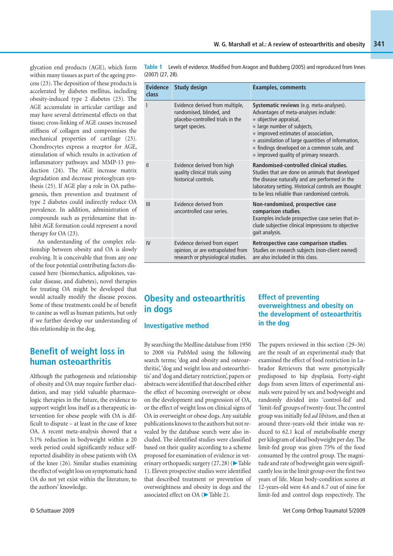glycation end products (AGE), which form within many tissues as part of the ageing process (23). The deposition of these products is accelerated by diabetes mellitus, including obesity-induced type 2 diabetes (23). The AGE accumulate in articular cartilage and may have several detrimental effects on that tissue; cross-linking of AGE causes increased stiffness of collagen and compromises the mechanical properties of cartilage (23). Chondrocytes express a receptor for AGE, stimulation of which results in activation of inflammatory pathways and MMP-13 production (24). The AGE increase matrix degradation and decrease proteoglycan synthesis (25). If AGE play a role in OA pathogenesis, then prevention and treatment of type 2 diabetes could indirectly reduce OA prevalence. In addition, administration of compounds such as pyridoxamine that inhibit AGE formation could represent a novel therapy for OA (23).

An understanding of the complex relationship between obesity and OA is slowly evolving. It is conceivable that from any one of the four potential contributing factors discussed here (biomechanics, adipokines, vascular disease, and diabetes), novel therapies for treating OA might be developed that would actually modify the disease process. Some of these treatments could be of benefit to canine as well as human patients, but only if we further develop our understanding of this relationship in the dog.

### **Benefit of weight loss in human osteoarthritis**

Although the pathogenesis and relationship of obesity and OA may require further elucidation, and may yield valuable pharmacologic therapies in the future, the evidence to support weight loss itself as a therapeutic intervention for obese people with OA is difficult to dispute – at least in the case of knee OA. A recent meta-analysis showed that a 5.1% reduction in bodyweight within a 20 week period could significantly reduce selfreported disability in obese patients with OA of the knee (26). Similar studies examining the effect of weight loss on symptomatic hand OA do not yet exist within the literature, to the authors' knowledge.

|                  | Table 1 Levels of evidence. Modified from Aragon and Budsberg (2005) and reproduced from Innes |
|------------------|------------------------------------------------------------------------------------------------|
| (2007) (27, 28). |                                                                                                |

| <b>Evidence</b><br>class | <b>Study design</b>                                                                                                | <b>Examples, comments</b>                                                                                                                                                                                                                                                                                               |
|--------------------------|--------------------------------------------------------------------------------------------------------------------|-------------------------------------------------------------------------------------------------------------------------------------------------------------------------------------------------------------------------------------------------------------------------------------------------------------------------|
|                          | Evidence derived from multiple,<br>randomised, blinded, and<br>placebo-controlled trials in the<br>target species. | Systematic reviews (e.g. meta-analyses).<br>Advantages of meta-analyses include:<br>objective appraisal,<br>large number of subjects,<br>improved estimates of association,<br>assimilation of large quantities of information,<br>findings developed on a common scale, and<br>• improved quality of primary research. |
| $\mathbf{I}$             | Evidence derived from high<br>quality clinical trials using<br>historical controls.                                | Randomised-controlled clinical studies.<br>Studies that are done on animals that developed<br>the disease naturally and are performed in the<br>laboratory setting. Historical controls are thought<br>to be less reliable than randomised controls.                                                                    |
| III                      | Evidence derived from<br>uncontrolled case series.                                                                 | Non-randomised, prospective case<br>comparison studies.<br>Examples include prospective case series that in-<br>clude subjective clinical impressions to objective<br>gait analysis.                                                                                                                                    |
| IV                       | Evidence derived from expert<br>opinion, or are extrapolated from<br>research or physiological studies.            | Retrospective case comparison studies.<br>Studies on research subjects (non-client owned)<br>are also included in this class.                                                                                                                                                                                           |

## **Obesity and osteoarthritis in dogs**

#### **Investigative method**

By searching the Medline database from 1950 to 2008 via PubMed using the following search terms; 'dog and obesity and osteoarthritis', 'dog and weight loss and osteoarthritis' and 'dog and dietary restriction', papers or abstracts were identified that described either the effect of becoming overweight or obese on the development and progression of OA, or the effect of weight loss on clinical signs of OA in overweight or obese dogs. Any suitable publications known to the authors but not revealed by the database search were also included. The identified studies were classified based on their quality according to a scheme proposed for examination of evidence in veterinary orthopaedic surgery  $(27, 28)$  ( $\blacktriangleright$  Table 1). Eleven prospective studies were identified that described treatment or prevention of overweightness and obesity in dogs and the associated effect on OA ( $\blacktriangleright$  Table 2).

#### **Effect of preventing overweightness and obesity on the development of osteoarthritis in the dog**

The papers reviewed in this section (29–36) are the result of an experimental study that examined the effect of food restriction in Labrador Retrievers that were genotypically predisposed to hip dysplasia. Forty-eight dogs from seven litters of experimental animals were paired by sex and bodyweight and randomly divided into 'control-fed' and 'limit-fed' groups of twenty-four. The control group was initially fed *ad libitum*, and then at around three-years-old their intake was reduced to 62.1 kcal of metabolisable energy per kilogram of ideal bodyweight per day. The limit-fed group was given 75% of the food consumed by the control group. The magnitude and rate of bodyweight gain were significantly less in the limit group over the first two years of life. Mean body-condition scores at 12-years-old were 4.6 and 6.7 out of nine for limit-fed and control dogs respectively. The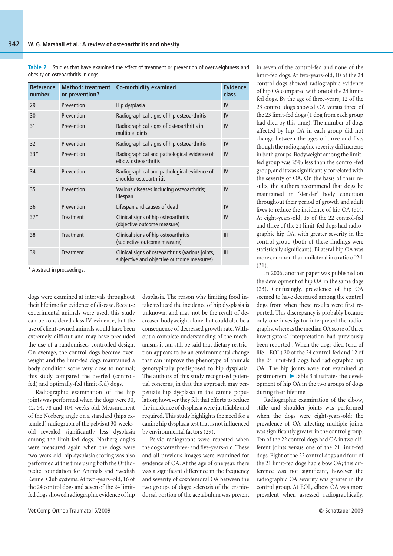| <b>Reference</b><br>number | <b>Method: treatment</b><br>or prevention? | <b>Co-morbidity examined</b>                                                                    | <b>Evidence</b><br>class |
|----------------------------|--------------------------------------------|-------------------------------------------------------------------------------------------------|--------------------------|
| 29                         | Prevention                                 | Hip dysplasia                                                                                   | IV                       |
| 30                         | Prevention                                 | Radiographical signs of hip osteoarthritis                                                      | IV                       |
| 31                         | Prevention                                 | Radiographical signs of osteoarthritis in<br>multiple joints                                    | IV                       |
| 32                         | Prevention                                 | Radiographical signs of hip osteoarthritis                                                      | IV                       |
| $33*$                      | Prevention                                 | Radiographical and pathological evidence of<br>elbow osteoarthritis                             | IV                       |
| 34                         | Prevention                                 | Radiographical and pathological evidence of<br>shoulder osteoarthritis                          | IV                       |
| 35                         | Prevention                                 | Various diseases including osteoarthritis;<br>lifespan                                          | IV                       |
| 36                         | Prevention                                 | Lifespan and causes of death                                                                    | IV                       |
| $37*$                      | <b>Treatment</b>                           | Clinical signs of hip osteoarthritis<br>(objective outcome measure)                             | IV                       |
| 38                         | <b>Treatment</b>                           | Clinical signs of hip osteoarthritis<br>(subjective outcome measure)                            | III                      |
| 39                         | <b>Treatment</b>                           | Clinical signs of osteoarthritis (various joints,<br>subjective and objective outcome measures) | III                      |

**Table 2** Studies that have examined the effect of treatment or prevention of overweightness and obesity on osteoarthritis in dogs.

\* Abstract in proceedings.

dogs were examined at intervals throughout their lifetime for evidence of disease. Because experimental animals were used, this study can be considered class IV evidence, but the use of client-owned animals would have been extremely difficult and may have precluded the use of a randomised, controlled design. On average, the control dogs became overweight and the limit-fed dogs maintained a body condition score very close to normal; this study compared the overfed (controlfed) and optimally-fed (limit-fed) dogs.

Radiographic examination of the hip joints was performed when the dogs were 30, 42, 54, 78 and 104-weeks-old. Measurement of the Norberg angle on a standard (hips extended) radiograph of the pelvis at 30-weeksold revealed significantly less dysplasia among the limit-fed dogs. Norberg angles were measured again when the dogs were two-years-old; hip dysplasia scoring was also performed at this time using both the Orthopedic Foundation for Animals and Swedish Kennel Club systems. At two-years–old, 16 of the 24 control dogs and seven of the 24 limitfed dogs showed radiographic evidence of hip

dysplasia. The reason why limiting food intake reduced the incidence of hip dysplasia is unknown, and may not be the result of decreased bodyweight alone, but could also be a consequence of decreased growth rate. Without a complete understanding of the mechanism, it can still be said that dietary restriction appears to be an environmental change that can improve the phenotype of animals genotypically predisposed to hip dysplasia. The authors of this study recognised potential concerns, in that this approach may perpetuate hip dysplasia in the canine population; however they felt that efforts to reduce the incidence of dysplasia were justifiable and required. This study highlights the need for a canine hip dysplasia test that is not influenced by environmental factors (29).

Pelvic radiographs were repeated when the dogs were three- and five-years-old. These and all previous images were examined for evidence of OA. At the age of one year, there was a significant difference in the frequency and severity of coxofemoral OA between the two groups of dogs: sclerosis of the craniodorsal portion of the acetabulum was present

in seven of the control-fed and none of the limit-fed dogs. At two-years-old, 10 of the 24 control dogs showed radiographic evidence of hip OA compared with one of the 24 limitfed dogs. By the age of three-years, 12 of the 23 control dogs showed OA versus three of the 23 limit-fed dogs (1 dog from each group had died by this time). The number of dogs affected by hip OA in each group did not change between the ages of three and five, though the radiographic severity did increase in both groups. Bodyweight among the limitfed group was 25% less than the control-fed group, and it was significantly correlated with the severity of OA. On the basis of their results, the authors recommend that dogs be maintained in 'slender' body condition throughout their period of growth and adult lives to reduce the incidence of hip OA (30). At eight-years-old, 15 of the 22 control-fed and three of the 21 limit-fed dogs had radiographic hip OA, with greater severity in the control group (both of these findings were statistically significant). Bilateral hip OA was more common than unilateral in a ratio of 2:1 (31).

In 2006, another paper was published on the development of hip OA in the same dogs (23). Confusingly, prevalence of hip OA seemed to have decreased among the control dogs from when these results were first reported. This discrepancy is probably because only one investigator interpreted the radiographs, whereas the median OA score of three investigators' interpretation had previously been reported . When the dogs died (end of life – EOL) 20 of the 24 control-fed and 12 of the 24 limit-fed dogs had radiographic hip OA. The hip joints were not examined at postmortem.  $\blacktriangleright$  Table 3 illustrates the development of hip OA in the two groups of dogs during their lifetime.

Radiographic examination of the elbow, stifle and shoulder joints was performed when the dogs were eight-years-old; the prevalence of OA affecting multiple joints was significantly greater in the control group. Ten of the 22 control dogs had OA in two different joints versus one of the 21 limit-fed dogs. Eight of the 22 control dogs and four of the 21 limit-fed dogs had elbow OA; this difference was not significant, however the radiographic OA severity was greater in the control group. At EOL, elbow OA was more prevalent when assessed radiographically,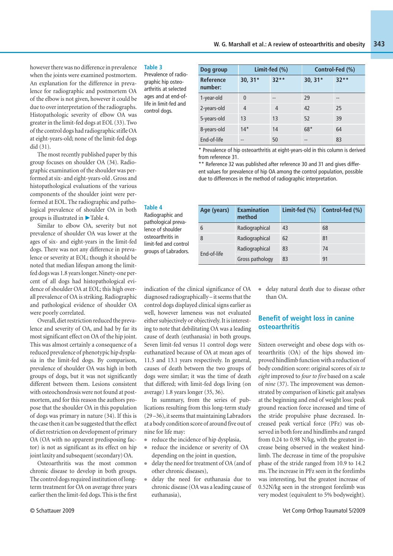however there was no difference in prevalence when the joints were examined postmortem. An explanation for the difference in prevalence for radiographic and postmortem OA of the elbow is not given, however it could be due to over interpretation of the radiographs. Histopathologic severity of elbow OA was greater in the limit-fed dogs at EOL (33). Two of the control dogs had radiographic stifle OA at eight-years-old; none of the limit-fed dogs did (31).

The most recently published paper by this group focuses on shoulder OA (34). Radiographic examination of the shoulder was performed at six- and eight-years-old . Gross and histopathological evaluations of the various components of the shoulder joint were performed at EOL. The radiographic and pathological prevalence of shoulder OA in both groups is illustrated in  $\blacktriangleright$  Table 4.

Similar to elbow OA, severity but not prevalence of shoulder OA was lower at the ages of six- and eight-years in the limit-fed dogs. There was not any difference in prevalence or severity at EOL; though it should be noted that median lifespan among the limitfed dogs was 1.8 years longer. Ninety-one percent of all dogs had histopathological evidence of shoulder OA at EOL; this high overall prevalence of OA is striking. Radiographic and pathological evidence of shoulder OA were poorly correlated.

Overall, diet restriction reduced the prevalence and severity of OA, and had by far its most significant effect on OA of the hip joint. This was almost certainly a consequence of a reduced prevalence of phenotypic hip dysplasia in the limit-fed dogs. By comparison, prevalence of shoulder OA was high in both groups of dogs, but it was not significantly different between them. Lesions consistent with osteochondrosis were not found at postmortem, and for this reason the authors propose that the shoulder OA in this population of dogs was primary in nature (34). If this is the case then it can be suggested that the effect of diet restriction on development of primary OA (OA with no apparent predisposing factor) is not as significant as its effect on hip joint laxity and subsequent (secondary) OA.

Osteoarthritis was the most common chronic disease to develop in both groups. The control dogs required institution of longterm treatment for OA on average three years earlier then the limit-fed dogs. This is the first

#### **Table 3**

Prevalence of radiographic hip osteoarthritis at selected ages and at end-oflife in limit-fed and control dogs.

| Dog group                   | Limit-fed (%)  |        | Control-Fed (%) |        |
|-----------------------------|----------------|--------|-----------------|--------|
| <b>Reference</b><br>number: | $30, 31*$      | $32**$ | $30, 31*$       | $32**$ |
| 1-year-old                  | $\mathbf{0}$   | --     | 29              | --     |
| 2-years-old                 | $\overline{4}$ | 4      | 42              | 25     |
| 5-years-old                 | 13             | 13     | 52              | 39     |
| 8-years-old                 | $14*$          | 14     | $68*$           | 64     |
| End-of-life                 |                | 50     |                 | 83     |

\* Prevalence of hip osteoarthritis at eight-years-old in this column is derived from reference 31.

\*\* Reference 32 was published after reference 30 and 31 and gives different values for prevalence of hip OA among the control population, possible due to differences in the method of radiographic interpretation.

**Age (years) Examination** 

**method** 

6 Radiographical 43 68

8 Radiographical 62 81

End-of-life Radiographical 83 74<br>Gross pathology 83 91 Gross pathology

#### **Table 4**

Radiographic and pathological prevalence of shoulder osteoarthritis in limit-fed and control groups of Labradors.

indication of the clinical significance of OA diagnosed radiographically – it seems that the control dogs displayed clinical signs earlier as well, however lameness was not evaluated either subjectively or objectively. It is interesting to note that debilitating OA was a leading cause of death (euthanasia) in both groups. Seven limit-fed versus 11 control dogs were euthanatized because of OA at mean ages of 11.5 and 13.1 years respectively. In general, causes of death between the two groups of dogs were similar; it was the time of death that differed; with limit-fed dogs living (on average) 1.8 years longer (35, 36).

In summary, from the series of publications resulting from this long-term study (29 –36), it seems that maintaining Labradors at a body condition score of around five out of nine for life may:

- reduce the incidence of hip dysplasia,
- reduce the incidence or severity of OA depending on the joint in question,
- delay the need for treatment of OA (and of other chronic diseases),
- delay the need for euthanasia due to chronic disease (OA was a leading cause of euthanasia),

delay natural death due to disease other than OA.

**Limit-fed (%) Control-fed (%)** 

#### **Benefit of weight loss in canine osteoarthritis**

Sixteen overweight and obese dogs with osteoarthritis (OA) of the hips showed improved hindlimb function with a reduction of body condition score: original scores of *six to eight* improved to *four to five* based on a scale of *nine* (37). The improvement was demonstrated by comparison of kinetic gait analyses at the beginning and end of weight loss: peak ground reaction force increased and time of the stride propulsive phase decreased. Increased peak vertical force (PFz) was observed in both fore and hindlimbs and ranged from 0.24 to 0.98 N/kg, with the greatest increase being observed in the weakest hindlimb. The decrease in time of the propulsive phase of the stride ranged from 10.9 to 14.2 ms. The increase in PFz seen in the forelimbs was interesting, but the greatest increase of 0.52N/kg seen in the strongest forelimb was very modest (equivalent to 5% bodyweight).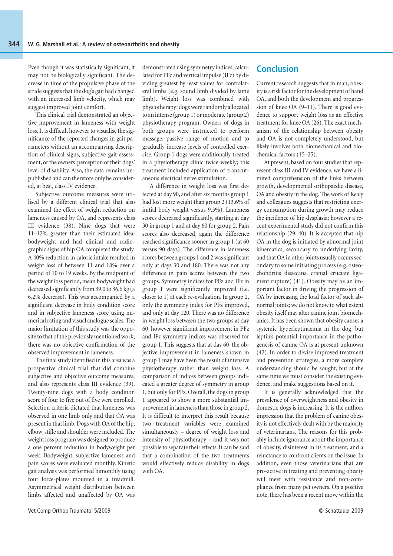Even though it was statistically significant, it may not be biologically significant. The decrease in time of the propulsive phase of the stride suggests that the dog's gait had changed with an increased limb velocity, which may suggest improved joint comfort.

This clinical trial demonstrated an objective improvement in lameness with weight loss. It is difficult however to visualise the significance of the reported changes in gait parameters without an accompanying description of clinical signs, subjective gait assessment, or the owners' perception of their dogs' level of disability. Also, the data remains unpublished and can therefore only be considered, at best, class IV evidence.

Subjective outcome measures were utilised by a different clinical trial that also examined the effect of weight reduction on lameness caused by OA, and represents class III evidence (38). Nine dogs that were 11–12% greater than their estimated ideal bodyweight and had clinical and radiographic signs of hip OA completed the study. A 40% reduction in caloric intake resulted in weight loss of between 11 and 18% over a period of 10 to 19 weeks. By the midpoint of the weight loss period, mean bodyweight had decreased significantly from 39.0 to 36.6 kg (a 6.2% decrease). This was accompanied by a significant decrease in body condition score and in subjective lameness score using numerical rating and visual analogue scales. The major limitation of this study was the opposite to that of the previously mentioned work; there was no objective confirmation of the observed improvement in lameness.

The final study identified in this area was a prospective clinical trial that did combine subjective and objective outcome measures, and also represents class III evidence (39). Twenty-nine dogs with a body condition score of four to five out of five were enrolled. Selection criteria dictated that lameness was observed in one limb only and that OA was present in that limb. Dogs with OA of the hip, elbow, stifle and shoulder were included. The weight loss program was designed to produce a one percent reduction in bodyweight per week. Bodyweight, subjective lameness and pain scores were evaluated monthly. Kinetic gait analysis was performed bimonthly using four force-plates mounted in a treadmill. Asymmetrical weight distribution between limbs affected and unaffected by OA was

demonstrated using symmetry indices, calculated for PFz and vertical impulse (IFz) by dividing greatest by least values for contralateral limbs (e.g. sound limb divided by lame limb). Weight loss was combined with physiotherapy: dogs were randomly allocated to an intense (group 1) or moderate (group 2) physiotherapy program. Owners of dogs in both groups were instructed to perform massage, passive range of motion and to gradually increase levels of controlled exercise. Group 1 dogs were additionally treated in a physiotherapy clinic twice weekly; this treatment included application of transcutaneous electrical nerve stimulation.

A difference in weight loss was first detected at day 90, and after six months group 1 had lost more weight than group 2 (13.6% of initial body weight versus 9.3%). Lameness scores decreased significantly, starting at day 30 in group 1 and at day 60 for group 2. Pain scores also decreased, again the difference reached significance sooner in group 1 (at 60 versus 90 days). The difference in lameness scores between groups 1 and 2 was significant only at days 30 and 180. There was not any difference in pain scores between the two groups. Symmetry indices for PFz and IFz in group 1 were significantly improved (i.e. closer to 1) at each re-evaluation. In group 2, only the symmetry index for PFz improved, and only at day 120. There was no difference in weight loss between the two groups at day 60, however significant improvement in PFz and IFz symmetry indices was observed for group 1. This suggests that at day 60, the objective improvement in lameness shown in group 1 may have been the result of intensive physiotherapy rather than weight loss. A comparison of indices between groups indicated a greater degree of symmetry in group 1, but only for PFz. Overall, the dogs in group 1 appeared to show a more substantial improvement in lameness than those in group 2. It is difficult to interpret this result because two treatment variables were examined simultaneously – degree of weight loss and intensity of physiotherapy – and it was not possible to separate their effects. It can be said that a combination of the two treatments would effectively reduce disability in dogs with OA.

#### **Conclusion**

Current research suggests that in man, obesity is a risk factor for the development of hand OA, and both the development and progression of knee OA (9–11). There is good evidence to support weight loss as an effective treatment for knee OA (26). The exact mechanism of the relationship between obesity and OA is not completely understood, but likely involves both biomechanical and biochemical factors (15–25).

At present, based on four studies that represent class III and IV evidence, we have a limited comprehension of the links between growth, developmental orthopaedic disease, OA and obesity in the dog. The work of Kealy and colleagues suggests that restricting energy consumption during growth may reduce the incidence of hip dysplasia; however a recent experimental study did not confirm this relationship (29, 40). It is accepted that hip OA in the dog is initiated by abnormal joint kinematics, secondary to underlying laxity, and that OA in other joints usually occurs secondary to some initiating process (e.g. osteochondritis dissecans, cranial cruciate ligament rupture) (41). Obesity may be an important factor in driving the progression of OA by increasing the load factor of such abnormal joints; we do not know to what extent obesity itself may alter canine joint biomechanics. It has been shown that obesity causes a systemic hyperleptinaemia in the dog, but leptin's potential importance in the pathogenesis of canine OA is at present unknown (42). In order to devise improved treatment and prevention strategies, a more complete understanding should be sought, but at the same time we must consider the existing evidence, and make suggestions based on it.

It is generally acknowledged that the prevalence of overweightness and obesity in domestic dogs is increasing. It is the authors impression that the problem of canine obesity is not effectively dealt with by the majority of veterinarians. The reasons for this probably include ignorance about the importance of obesity, disinterest in its treatment, and a reluctance to confront clients on the issue. In addition, even those veterinarians that are pro-active in treating and preventing obesity will meet with resistance and non-compliance from many pet owners. On a positive note, there has been a recent move within the